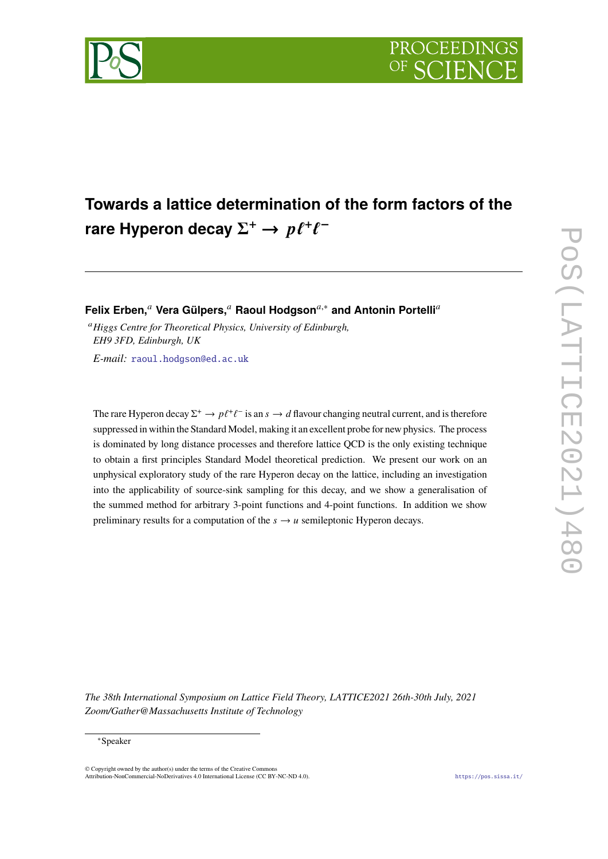

# **Towards a lattice determination of the form factors of the** rare Hyperon decay  $\Sigma^+ \to p \ell^+ \ell^-$

**Felix Erben,<sup>a</sup> Vera Gülpers,<sup>a</sup> Raoul Hodgson<sup>a,∗</sup> and Antonin Portelli<sup>a</sup>** 

<sup>𝑎</sup>*Higgs Centre for Theoretical Physics, University of Edinburgh, EH9 3FD, Edinburgh, UK E-mail:* [raoul.hodgson@ed.ac.uk](mailto:raoul.hodgson@ed.ac.uk)

The rare Hyperon decay  $\Sigma^+ \to p\ell^+\ell^-$  is an  $s \to d$  flavour changing neutral current, and is therefore suppressed in within the Standard Model, making it an excellent probe for new physics. The process is dominated by long distance processes and therefore lattice QCD is the only existing technique to obtain a first principles Standard Model theoretical prediction. We present our work on an unphysical exploratory study of the rare Hyperon decay on the lattice, including an investigation into the applicability of source-sink sampling for this decay, and we show a generalisation of the summed method for arbitrary 3-point functions and 4-point functions. In addition we show preliminary results for a computation of the  $s \rightarrow u$  semileptonic Hyperon decays.

*The 38th International Symposium on Lattice Field Theory, LATTICE2021 26th-30th July, 2021 Zoom/Gather@Massachusetts Institute of Technology*

© Copyright owned by the author(s) under the terms of the Creative Commons Attribution-NonCommercial-NoDerivatives 4.0 International License (CC BY-NC-ND 4.0). <https://pos.sissa.it/>

<sup>∗</sup>Speaker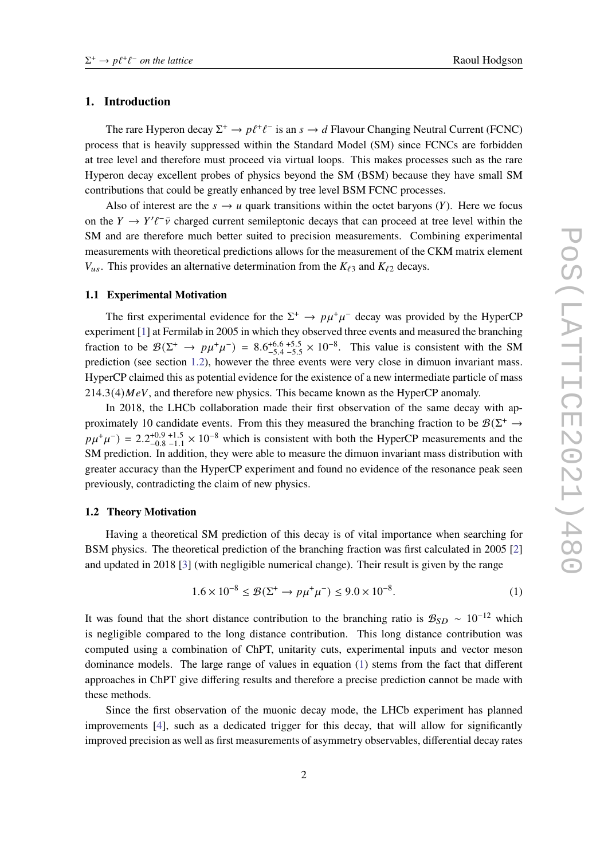### **1. Introduction**

The rare Hyperon decay  $\Sigma^+ \to p\ell^+\ell^-$  is an  $s \to d$  Flavour Changing Neutral Current (FCNC) process that is heavily suppressed within the Standard Model (SM) since FCNCs are forbidden at tree level and therefore must proceed via virtual loops. This makes processes such as the rare Hyperon decay excellent probes of physics beyond the SM (BSM) because they have small SM contributions that could be greatly enhanced by tree level BSM FCNC processes.

Also of interest are the  $s \to u$  quark transitions within the octet baryons (*Y*). Here we focus on the  $Y \to Y'\ell^-\bar{\nu}$  charged current semileptonic decays that can proceed at tree level within the SM and are therefore much better suited to precision measurements. Combining experimental measurements with theoretical predictions allows for the measurement of the CKM matrix element  $V_{us}$ . This provides an alternative determination from the  $K_{\ell 3}$  and  $K_{\ell 2}$  decays.

#### **1.1 Experimental Motivation**

The first experimental evidence for the  $\Sigma^+ \to p\mu^+\mu^-$  decay was provided by the HyperCP experiment [\[1\]](#page-8-0) at Fermilab in 2005 in which they observed three events and measured the branching fraction to be  $\mathcal{B}(\Sigma^+ \to p\mu^+\mu^-) = 8.6^{+6.6}_{-5.4}{}^{+5.5}_{-5.4}$  $^{+6.6}_{-5.4}$  -5.5 × 10<sup>-8</sup>. This value is consistent with the SM prediction (see section [1.2\)](#page-1-0), however the three events were very close in dimuon invariant mass. HyperCP claimed this as potential evidence for the existence of a new intermediate particle of mass  $214.3(4)$  MeV, and therefore new physics. This became known as the HyperCP anomaly.

In 2018, the LHCb collaboration made their first observation of the same decay with approximately 10 candidate events. From this they measured the branching fraction to be  $\mathcal{B}(\Sigma^+ \to$  $p\mu^+\mu^-$ ) = 2.2<sup>+0.9</sup> +1.5 × 10<sup>-8</sup> which is consistent with both the HyperCP measurements and the SM prediction. In addition, they were able to measure the dimuon invariant mass distribution with greater accuracy than the HyperCP experiment and found no evidence of the resonance peak seen previously, contradicting the claim of new physics.

#### <span id="page-1-0"></span>**1.2 Theory Motivation**

Having a theoretical SM prediction of this decay is of vital importance when searching for BSM physics. The theoretical prediction of the branching fraction was first calculated in 2005 [\[2\]](#page-8-1) and updated in 2018 [\[3\]](#page-8-2) (with negligible numerical change). Their result is given by the range

<span id="page-1-1"></span>
$$
1.6 \times 10^{-8} \le \mathcal{B}(\Sigma^+ \to p\mu^+\mu^-) \le 9.0 \times 10^{-8}.
$$
 (1)

It was found that the short distance contribution to the branching ratio is  $B_{SD} \sim 10^{-12}$  which is negligible compared to the long distance contribution. This long distance contribution was computed using a combination of ChPT, unitarity cuts, experimental inputs and vector meson dominance models. The large range of values in equation [\(1\)](#page-1-1) stems from the fact that different approaches in ChPT give differing results and therefore a precise prediction cannot be made with these methods.

Since the first observation of the muonic decay mode, the LHCb experiment has planned improvements [\[4\]](#page-8-3), such as a dedicated trigger for this decay, that will allow for significantly improved precision as well as first measurements of asymmetry observables, differential decay rates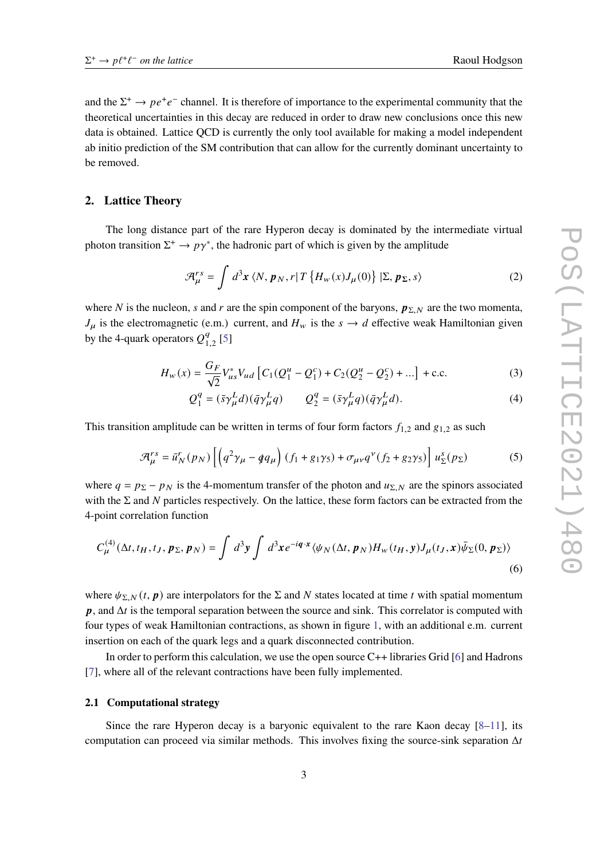and the  $\Sigma^+ \to pe^+e^-$  channel. It is therefore of importance to the experimental community that the theoretical uncertainties in this decay are reduced in order to draw new conclusions once this new data is obtained. Lattice QCD is currently the only tool available for making a model independent ab initio prediction of the SM contribution that can allow for the currently dominant uncertainty to be removed.

### **2. Lattice Theory**

The long distance part of the rare Hyperon decay is dominated by the intermediate virtual photon transition  $\Sigma^+ \to p\gamma^*$ , the hadronic part of which is given by the amplitude

$$
\mathcal{A}_{\mu}^{rs} = \int d^3x \langle N, p_N, r | T \{ H_w(x) J_{\mu}(0) \} | \Sigma, p_{\Sigma}, s \rangle
$$
 (2)

where N is the nucleon, s and r are the spin component of the baryons,  $p_{\Sigma N}$  are the two momenta,  $J_{\mu}$  is the electromagnetic (e.m.) current, and  $H_{w}$  is the  $s \to d$  effective weak Hamiltonian given by the 4-quark operators  $O_3^q$  $\frac{q}{1.2}$  [\[5\]](#page-8-4)

$$
H_w(x) = \frac{G_F}{\sqrt{2}} V_{us}^* V_{ud} \left[ C_1 (Q_1^u - Q_1^c) + C_2 (Q_2^u - Q_2^c) + \dots \right] + \text{c.c.}
$$
 (3)

$$
Q_1^q = (\bar{s}\gamma_\mu^L d)(\bar{q}\gamma_\mu^L q) \qquad Q_2^q = (\bar{s}\gamma_\mu^L q)(\bar{q}\gamma_\mu^L d). \tag{4}
$$

This transition amplitude can be written in terms of four form factors  $f_{1,2}$  and  $g_{1,2}$  as such

$$
\mathcal{A}_{\mu}^{rs} = \bar{u}_N^r(p_N) \left[ \left( q^2 \gamma_\mu - q q_\mu \right) (f_1 + g_1 \gamma_5) + \sigma_{\mu\nu} q^\nu (f_2 + g_2 \gamma_5) \right] u_\Sigma^s(p_\Sigma) \tag{5}
$$

where  $q = p_{\Sigma} - p_N$  is the 4-momentum transfer of the photon and  $u_{\Sigma}$ ,  $\chi$  are the spinors associated with the  $\Sigma$  and N particles respectively. On the lattice, these form factors can be extracted from the 4-point correlation function

$$
C_{\mu}^{(4)}(\Delta t, t_H, t_J, p_{\Sigma}, p_N) = \int d^3y \int d^3x e^{-iq \cdot x} \langle \psi_N(\Delta t, p_N) H_w(t_H, y) J_{\mu}(t_J, x) \bar{\psi}_{\Sigma}(0, p_{\Sigma}) \rangle
$$
\n(6)

where  $\psi_{\Sigma,N}(t, p)$  are interpolators for the  $\Sigma$  and N states located at time t with spatial momentum  $p$ , and  $\Delta t$  is the temporal separation between the source and sink. This correlator is computed with four types of weak Hamiltonian contractions, as shown in figure [1,](#page-3-0) with an additional e.m. current insertion on each of the quark legs and a quark disconnected contribution.

In order to perform this calculation, we use the open source C++ libraries Grid [\[6\]](#page-8-5) and Hadrons [\[7\]](#page-8-6), where all of the relevant contractions have been fully implemented.

### **2.1 Computational strategy**

Since the rare Hyperon decay is a baryonic equivalent to the rare Kaon decay  $[8-11]$  $[8-11]$ , its computation can proceed via similar methods. This involves fixing the source-sink separation  $\Delta t$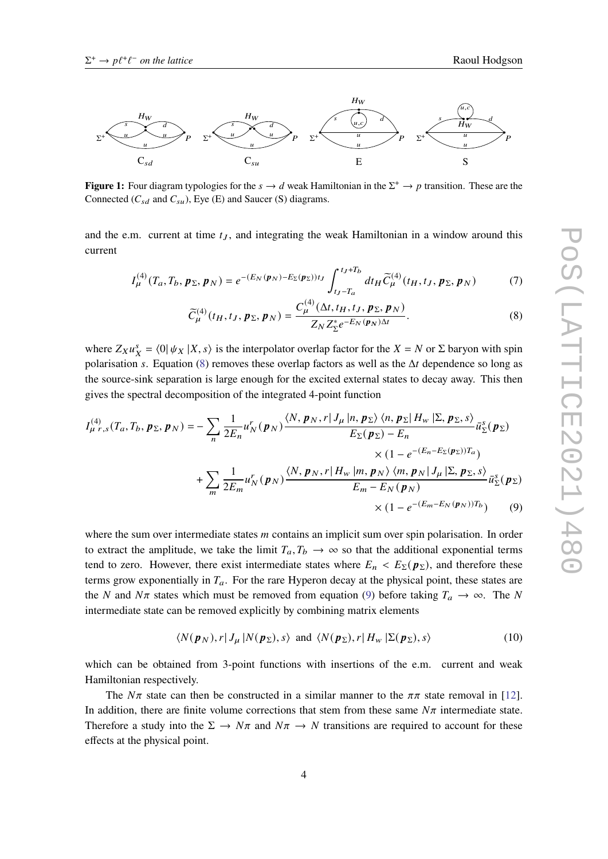<span id="page-3-0"></span>

**Figure 1:** Four diagram typologies for the  $s \to d$  weak Hamiltonian in the  $\Sigma^+ \to p$  transition. These are the Connected  $(C_{sd}$  and  $C_{su}$ ), Eye (E) and Saucer (S) diagrams.

and the e.m. current at time  $t_J$ , and integrating the weak Hamiltonian in a window around this current

$$
I_{\mu}^{(4)}(T_a, T_b, p_{\Sigma}, p_N) = e^{-(E_N(p_N) - E_{\Sigma}(p_{\Sigma}))t_J} \int_{t_J - T_a}^{t_J + T_b} dt_H \widetilde{C}_{\mu}^{(4)}(t_H, t_J, p_{\Sigma}, p_N)
$$
(7)

<span id="page-3-1"></span>
$$
\widetilde{C}_{\mu}^{(4)}(t_H, t_J, \mathbf{p}_{\Sigma}, \mathbf{p}_N) = \frac{C_{\mu}^{(4)}(\Delta t, t_H, t_J, \mathbf{p}_{\Sigma}, \mathbf{p}_N)}{Z_N Z_{\Sigma}^* e^{-E_N(\mathbf{p}_N)\Delta t}}.
$$
\n(8)

where  $Z_X u_X^s = \langle 0 | \psi_X | X, s \rangle$  is the interpolator overlap factor for the  $X = N$  or  $\Sigma$  baryon with spin polarisation s. Equation [\(8\)](#page-3-1) removes these overlap factors as well as the  $\Delta t$  dependence so long as the source-sink separation is large enough for the excited external states to decay away. This then gives the spectral decomposition of the integrated 4-point function

$$
I_{\mu r,s}^{(4)}(T_a, T_b, p_{\Sigma}, p_N) = -\sum_{n} \frac{1}{2E_n} u_N^r(p_N) \frac{\langle N, p_N, r | J_{\mu} | n, p_{\Sigma} \rangle \langle n, p_{\Sigma} | H_w | \Sigma, p_{\Sigma}, s \rangle}{E_{\Sigma}(p_{\Sigma}) - E_n} \bar{u}_{\Sigma}^s(p_{\Sigma})
$$
  
 
$$
\times (1 - e^{-(E_n - E_{\Sigma}(p_{\Sigma}))T_a})
$$
  
 
$$
+ \sum_{m} \frac{1}{2E_m} u_N^r(p_N) \frac{\langle N, p_N, r | H_w | m, p_N \rangle \langle m, p_N | J_{\mu} | \Sigma, p_{\Sigma}, s \rangle}{E_m - E_N(p_N)} \bar{u}_{\Sigma}^s(p_{\Sigma})
$$
  
 
$$
\times (1 - e^{-(E_m - E_N(p_N))T_b}) \tag{9}
$$

where the sum over intermediate states  *contains an implicit sum over spin polarisation. In order* to extract the amplitude, we take the limit  $T_a, T_b \rightarrow \infty$  so that the additional exponential terms tend to zero. However, there exist intermediate states where  $E_n < E_\Sigma(p_\Sigma)$ , and therefore these terms grow exponentially in  $T_a$ . For the rare Hyperon decay at the physical point, these states are the N and  $N\pi$  states which must be removed from equation [\(9\)](#page-3-2) before taking  $T_a \to \infty$ . The N intermediate state can be removed explicitly by combining matrix elements

<span id="page-3-2"></span>
$$
\langle N(\boldsymbol{p}_N), r | J_{\mu} | N(\boldsymbol{p}_\Sigma), s \rangle \text{ and } \langle N(\boldsymbol{p}_\Sigma), r | H_{\nu} | \Sigma(\boldsymbol{p}_\Sigma), s \rangle \tag{10}
$$

which can be obtained from 3-point functions with insertions of the e.m. current and weak Hamiltonian respectively.

The  $N\pi$  state can then be constructed in a similar manner to the  $\pi\pi$  state removal in [\[12\]](#page-8-9). In addition, there are finite volume corrections that stem from these same  $N\pi$  intermediate state. Therefore a study into the  $\Sigma \to N\pi$  and  $N\pi \to N$  transitions are required to account for these effects at the physical point.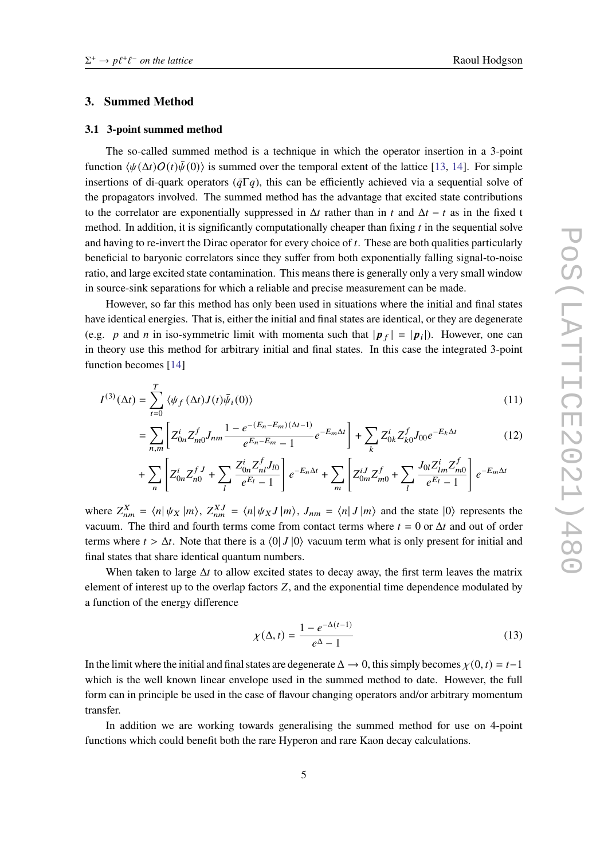# **3. Summed Method**

#### **3.1 3-point summed method**

The so-called summed method is a technique in which the operator insertion in a 3-point function  $\langle \psi(\Delta t)O(t)\bar{\psi}(0)\rangle$  is summed over the temporal extent of the lattice [\[13,](#page-9-0) [14\]](#page-9-1). For simple insertions of di-quark operators ( $\bar{q}\Gamma q$ ), this can be efficiently achieved via a sequential solve of the propagators involved. The summed method has the advantage that excited state contributions to the correlator are exponentially suppressed in  $\Delta t$  rather than in t and  $\Delta t - t$  as in the fixed t method. In addition, it is significantly computationally cheaper than fixing  $t$  in the sequential solve and having to re-invert the Dirac operator for every choice of  $t$ . These are both qualities particularly beneficial to baryonic correlators since they suffer from both exponentially falling signal-to-noise ratio, and large excited state contamination. This means there is generally only a very small window in source-sink separations for which a reliable and precise measurement can be made.

However, so far this method has only been used in situations where the initial and final states have identical energies. That is, either the initial and final states are identical, or they are degenerate (e.g. p and n in iso-symmetric limit with momenta such that  $|\mathbf{p}_f| = |\mathbf{p}_i|$ ). However, one can in theory use this method for arbitrary initial and final states. In this case the integrated 3-point function becomes [\[14\]](#page-9-1)

$$
I^{(3)}(\Delta t) = \sum_{t=0}^{T} \langle \psi_f(\Delta t) J(t) \bar{\psi}_i(0) \rangle
$$
 (11)

$$
= \sum_{n,m} \left[ Z_{0n}^i Z_{m0}^f J_{nm} \frac{1 - e^{-(E_n - E_m)(\Delta t - 1)}}{e^{E_n - E_m} - 1} e^{-E_m \Delta t} \right] + \sum_k Z_{0k}^i Z_{k0}^f J_{00} e^{-E_k \Delta t}
$$
(12)

$$
+ \sum_n \left[Z^i_{0n} Z^{fJ}_{n0} + \sum_l \frac{Z^i_{0n} Z^f_{nl} J_{l0}}{e^{E_l}-1} \right] e^{-E_n \Delta t} + \sum_m \left[Z^{iJ}_{0m} Z^f_{m0} + \sum_l \frac{J_{0l} Z^i_{lm} Z^f_{m0}}{e^{E_l}-1} \right] e^{-E_m \Delta t}
$$

where  $Z_{nm}^X = \langle n | \psi_X | m \rangle$ ,  $Z_{nm}^{X,J} = \langle n | \psi_X J | m \rangle$ ,  $J_{nm} = \langle n | J | m \rangle$  and the state  $|0\rangle$  represents the vacuum. The third and fourth terms come from contact terms where  $t = 0$  or  $\Delta t$  and out of order terms where  $t > \Delta t$ . Note that there is a  $\langle 0 | J | 0 \rangle$  vacuum term what is only present for initial and final states that share identical quantum numbers.

When taken to large  $\Delta t$  to allow excited states to decay away, the first term leaves the matrix element of interest up to the overlap factors Z, and the exponential time dependence modulated by a function of the energy difference

$$
\chi(\Delta, t) = \frac{1 - e^{-\Delta(t-1)}}{e^{\Delta} - 1} \tag{13}
$$

In the limit where the initial and final states are degenerate  $\Delta \to 0$ , this simply becomes  $\chi(0, t) = t-1$ which is the well known linear envelope used in the summed method to date. However, the full form can in principle be used in the case of flavour changing operators and/or arbitrary momentum transfer.

In addition we are working towards generalising the summed method for use on 4-point functions which could benefit both the rare Hyperon and rare Kaon decay calculations.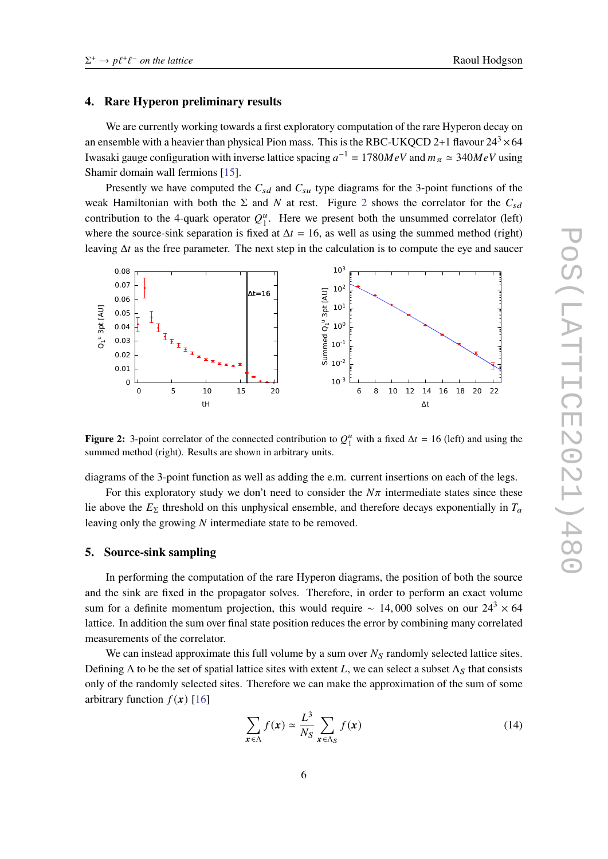#### **4. Rare Hyperon preliminary results**

We are currently working towards a first exploratory computation of the rare Hyperon decay on an ensemble with a heavier than physical Pion mass. This is the RBC-UKQCD 2+1 flavour  $24^3 \times 64$ Iwasaki gauge configuration with inverse lattice spacing  $a^{-1} = 1780 MeV$  and  $m_{\pi} \simeq 340 MeV$  using Shamir domain wall fermions [\[15\]](#page-9-2).

Presently we have computed the  $C_{sd}$  and  $C_{su}$  type diagrams for the 3-point functions of the weak Hamiltonian with both the  $\Sigma$  and N at rest. Figure [2](#page-5-0) shows the correlator for the  $C_{sd}$ contribution to the 4-quark operator  $Q_1^u$ . Here we present both the unsummed correlator (left) where the source-sink separation is fixed at  $\Delta t = 16$ , as well as using the summed method (right) leaving  $\Delta t$  as the free parameter. The next step in the calculation is to compute the eye and saucer

<span id="page-5-0"></span>

**Figure 2:** 3-point correlator of the connected contribution to  $Q_1^u$  with a fixed  $\Delta t = 16$  (left) and using the summed method (right). Results are shown in arbitrary units.

diagrams of the 3-point function as well as adding the e.m. current insertions on each of the legs.

For this exploratory study we don't need to consider the  $N\pi$  intermediate states since these lie above the  $E_{\Sigma}$  threshold on this unphysical ensemble, and therefore decays exponentially in  $T_a$ leaving only the growing  $N$  intermediate state to be removed.

#### **5. Source-sink sampling**

In performing the computation of the rare Hyperon diagrams, the position of both the source and the sink are fixed in the propagator solves. Therefore, in order to perform an exact volume sum for a definite momentum projection, this would require ~ 14,000 solves on our  $24<sup>3</sup> \times 64$ lattice. In addition the sum over final state position reduces the error by combining many correlated measurements of the correlator.

We can instead approximate this full volume by a sum over  $N<sub>S</sub>$  randomly selected lattice sites. Defining  $\Lambda$  to be the set of spatial lattice sites with extent L, we can select a subset  $\Lambda_S$  that consists only of the randomly selected sites. Therefore we can make the approximation of the sum of some arbitrary function  $f(x)$  [\[16\]](#page-9-3)

$$
\sum_{\mathbf{x} \in \Lambda} f(\mathbf{x}) \simeq \frac{L^3}{N_S} \sum_{\mathbf{x} \in \Lambda_S} f(\mathbf{x}) \tag{14}
$$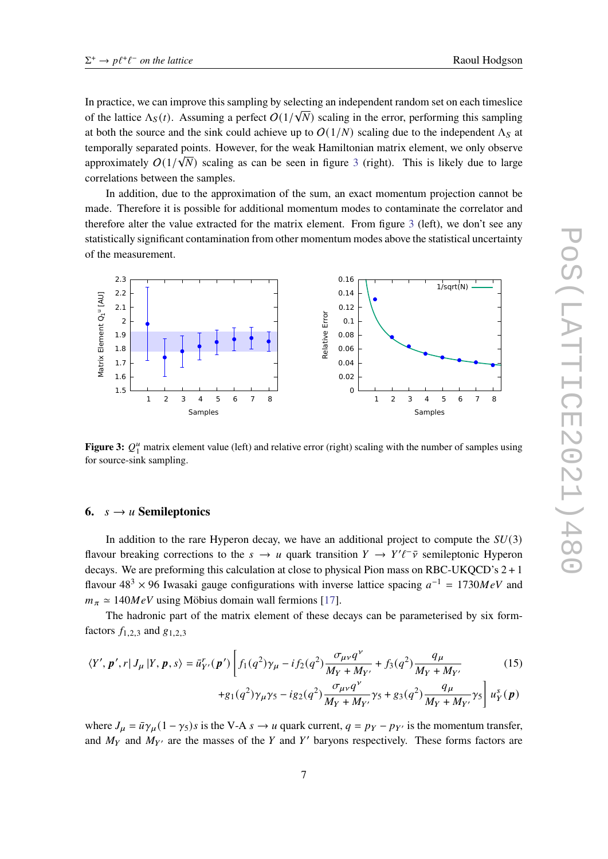In practice, we can improve this sampling by selecting an independent random set on each timeslice of the lattice  $\Lambda_S(t)$ . Assuming a perfect  $O(1/\sqrt{N})$  scaling in the error, performing this sampling at both the source and the sink could achieve up to  $O(1/N)$  scaling due to the independent  $\Lambda_s$  at temporally separated points. However, for the weak Hamiltonian matrix element, we only observe approximately  $O(1/\sqrt{N})$  scaling as can be seen in figure [3](#page-6-0) (right). This is likely due to large correlations between the samples.

In addition, due to the approximation of the sum, an exact momentum projection cannot be made. Therefore it is possible for additional momentum modes to contaminate the correlator and therefore alter the value extracted for the matrix element. From figure [3](#page-6-0) (left), we don't see any statistically significant contamination from other momentum modes above the statistical uncertainty of the measurement.

<span id="page-6-0"></span>

**Figure 3:**  $Q_1^u$  matrix element value (left) and relative error (right) scaling with the number of samples using for source-sink sampling.

# **6.**  $s \rightarrow u$  **Semileptonics**

In addition to the rare Hyperon decay, we have an additional project to compute the  $SU(3)$ flavour breaking corrections to the  $s \to u$  quark transition  $Y \to Y'\ell^-\bar{\nu}$  semileptonic Hyperon decays. We are preforming this calculation at close to physical Pion mass on RBC-UKQCD's 2 + 1 flavour  $48^3 \times 96$  Iwasaki gauge configurations with inverse lattice spacing  $a^{-1} = 1730 MeV$  and  $m_{\pi} \simeq 140 MeV$  using Möbius domain wall fermions [\[17\]](#page-9-4).

The hadronic part of the matrix element of these decays can be parameterised by six formfactors  $f_{1,2,3}$  and  $g_{1,2,3}$ 

$$
\langle Y', \mathbf{p}', r | J_{\mu} | Y, \mathbf{p}, s \rangle = \bar{u}_{Y'}^r(\mathbf{p}') \left[ f_1(q^2) \gamma_{\mu} - i f_2(q^2) \frac{\sigma_{\mu \nu} q^{\nu}}{M_Y + M_{Y'}} + f_3(q^2) \frac{q_{\mu}}{M_Y + M_{Y'}} \right] \tag{15}
$$

+g<sub>1</sub>(q<sup>2</sup>)
$$
\gamma_{\mu}\gamma_{5}
$$
 - ig<sub>2</sub>(q<sup>2</sup>) $\frac{\sigma_{\mu\nu}q^{\nu}}{M_{Y} + M_{Y'}}\gamma_{5}$  + g<sub>3</sub>(q<sup>2</sup>) $\frac{q_{\mu}}{M_{Y} + M_{Y'}}\gamma_{5}$  u<sub>Y</sub><sup>s</sup>(p)

where  $J_{\mu} = \bar{u}\gamma_{\mu} (1 - \gamma_5)s$  is the V-A  $s \to u$  quark current,  $q = p_Y - p_{Y'}$  is the momentum transfer, and  $M_Y$  and  $M_{Y'}$  are the masses of the Y and Y' baryons respectively. These forms factors are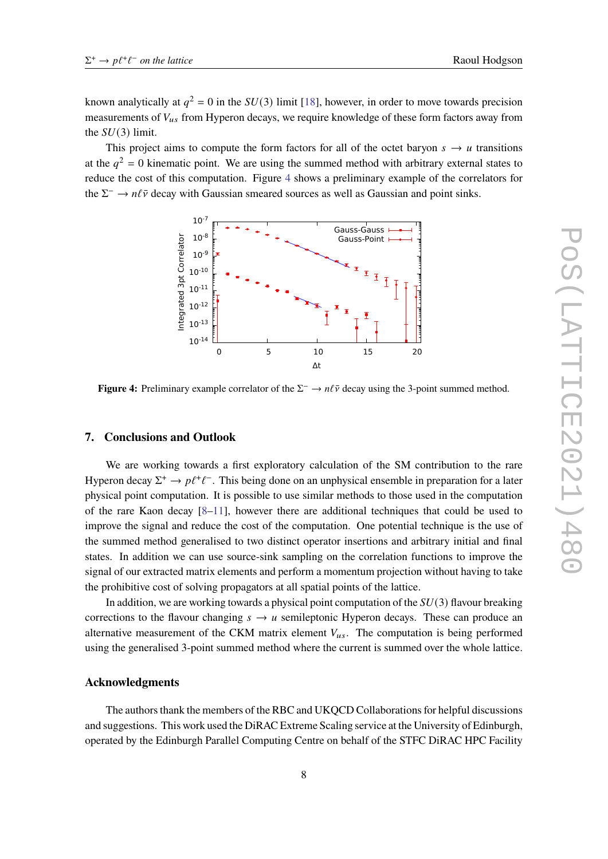known analytically at  $q^2 = 0$  in the  $SU(3)$  limit [\[18\]](#page-9-5), however, in order to move towards precision measurements of  $V_{us}$  from Hyperon decays, we require knowledge of these form factors away from the  $SU(3)$  limit.

<span id="page-7-0"></span>This project aims to compute the form factors for all of the octet baryon  $s \to u$  transitions at the  $q^2 = 0$  kinematic point. We are using the summed method with arbitrary external states to reduce the cost of this computation. Figure [4](#page-7-0) shows a preliminary example of the correlators for the  $\Sigma^- \to n\ell\bar{\nu}$  decay with Gaussian smeared sources as well as Gaussian and point sinks.



**Figure 4:** Preliminary example correlator of the  $\Sigma^- \to n\ell\bar{\nu}$  decay using the 3-point summed method.

#### **7. Conclusions and Outlook**

We are working towards a first exploratory calculation of the SM contribution to the rare Hyperon decay  $\Sigma^+ \to p\ell^+\ell^-$ . This being done on an unphysical ensemble in preparation for a later physical point computation. It is possible to use similar methods to those used in the computation of the rare Kaon decay [\[8](#page-8-7)[–11\]](#page-8-8), however there are additional techniques that could be used to improve the signal and reduce the cost of the computation. One potential technique is the use of the summed method generalised to two distinct operator insertions and arbitrary initial and final states. In addition we can use source-sink sampling on the correlation functions to improve the signal of our extracted matrix elements and perform a momentum projection without having to take the prohibitive cost of solving propagators at all spatial points of the lattice.

In addition, we are working towards a physical point computation of the  $SU(3)$  flavour breaking corrections to the flavour changing  $s \to u$  semileptonic Hyperon decays. These can produce an alternative measurement of the CKM matrix element  $V_{us}$ . The computation is being performed using the generalised 3-point summed method where the current is summed over the whole lattice.

#### **Acknowledgments**

The authors thank the members of the RBC and UKQCD Collaborations for helpful discussions and suggestions. This work used the DiRAC Extreme Scaling service at the University of Edinburgh, operated by the Edinburgh Parallel Computing Centre on behalf of the STFC DiRAC HPC Facility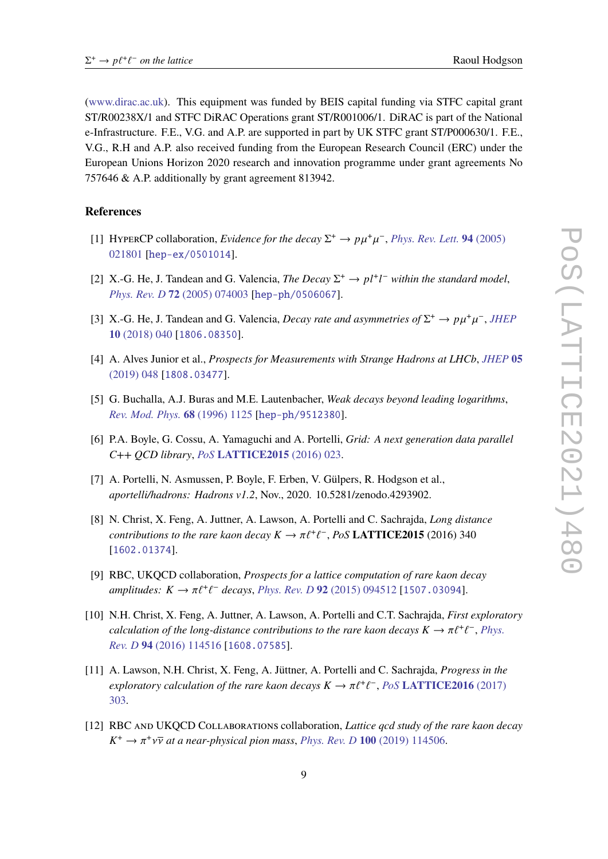[\(www.dirac.ac.uk\)](www.dirac.ac.uk). This equipment was funded by BEIS capital funding via STFC capital grant ST/R00238X/1 and STFC DiRAC Operations grant ST/R001006/1. DiRAC is part of the National e-Infrastructure. F.E., V.G. and A.P. are supported in part by UK STFC grant ST/P000630/1. F.E., V.G., R.H and A.P. also received funding from the European Research Council (ERC) under the European Unions Horizon 2020 research and innovation programme under grant agreements No 757646 & A.P. additionally by grant agreement 813942.

# **References**

- <span id="page-8-0"></span>[1] HYPERCP collaboration, *Evidence for the decay*  $\Sigma^+ \to p\mu^+\mu^-$ , *[Phys. Rev. Lett.](https://doi.org/10.1103/PhysRevLett.94.021801)* **94** (2005) [021801](https://doi.org/10.1103/PhysRevLett.94.021801) [[hep-ex/0501014](https://arxiv.org/abs/hep-ex/0501014)].
- <span id="page-8-1"></span>[2] X.-G. He, J. Tandean and G. Valencia, *The Decay*  $\Sigma^+ \rightarrow pl^+l^-$  within the standard model, *[Phys. Rev. D](https://doi.org/10.1103/PhysRevD.72.074003)* **72** (2005) 074003 [[hep-ph/0506067](https://arxiv.org/abs/hep-ph/0506067)].
- <span id="page-8-2"></span>[3] X.-G. He, J. Tandean and G. Valencia, *Decay rate and asymmetries of*  $\Sigma^+ \to p\mu^+\mu^-$ , *[JHEP](https://doi.org/10.1007/JHEP10(2018)040)* **10** [\(2018\) 040](https://doi.org/10.1007/JHEP10(2018)040) [[1806.08350](https://arxiv.org/abs/1806.08350)].
- <span id="page-8-3"></span>[4] A. Alves Junior et al., *Prospects for Measurements with Strange Hadrons at LHCb*, *[JHEP](https://doi.org/10.1007/JHEP05(2019)048)* **05** [\(2019\) 048](https://doi.org/10.1007/JHEP05(2019)048) [[1808.03477](https://arxiv.org/abs/1808.03477)].
- <span id="page-8-4"></span>[5] G. Buchalla, A.J. Buras and M.E. Lautenbacher, *Weak decays beyond leading logarithms*, *[Rev. Mod. Phys.](https://doi.org/10.1103/RevModPhys.68.1125)* **68** (1996) 1125 [[hep-ph/9512380](https://arxiv.org/abs/hep-ph/9512380)].
- <span id="page-8-5"></span>[6] P.A. Boyle, G. Cossu, A. Yamaguchi and A. Portelli, *Grid: A next generation data parallel C++ QCD library*, *PoS* **[LATTICE2015](https://doi.org/10.22323/1.251.0023)** (2016) 023.
- <span id="page-8-6"></span>[7] A. Portelli, N. Asmussen, P. Boyle, F. Erben, V. Gülpers, R. Hodgson et al., *aportelli/hadrons: Hadrons v1.2*, Nov., 2020. 10.5281/zenodo.4293902.
- <span id="page-8-7"></span>[8] N. Christ, X. Feng, A. Juttner, A. Lawson, A. Portelli and C. Sachrajda, *Long distance contributions to the rare kaon decay*  $K \to \pi \ell^+ \ell^-$ , *PoS* **LATTICE2015** (2016) 340 [[1602.01374](https://arxiv.org/abs/1602.01374)].
- [9] RBC, UKQCD collaboration, *Prospects for a lattice computation of rare kaon decay*  $amplitudes: K \to \pi \ell^+ \ell^-$  decays, *[Phys. Rev. D](https://doi.org/10.1103/PhysRevD.92.094512)* 92 (2015) 094512 [[1507.03094](https://arxiv.org/abs/1507.03094)].
- [10] N.H. Christ, X. Feng, A. Juttner, A. Lawson, A. Portelli and C.T. Sachrajda, *First exploratory calculation of the long-distance contributions to the rare kaon decays*  $K \to \pi \ell^+ \ell^-$ , *[Phys.](https://doi.org/10.1103/PhysRevD.94.114516) Rev. D* **94** [\(2016\) 114516](https://doi.org/10.1103/PhysRevD.94.114516) [[1608.07585](https://arxiv.org/abs/1608.07585)].
- <span id="page-8-8"></span>[11] A. Lawson, N.H. Christ, X. Feng, A. Jüttner, A. Portelli and C. Sachrajda, *Progress in the*  $\epsilon$ xploratory calculation of the rare kaon decays  $K \to \pi \ell^+ \ell^-$ ,  $PoS$  **[LATTICE2016](https://doi.org/10.22323/1.256.0303)** (2017) [303.](https://doi.org/10.22323/1.256.0303)
- <span id="page-8-9"></span>[12] RBC and UKQCD Collaborations collaboration, *Lattice qcd study of the rare kaon decay*  $K^+ \to \pi^+ \nu \overline{\nu}$  at a near-physical pion mass, *[Phys. Rev. D](https://doi.org/10.1103/PhysRevD.100.114506)* **100** (2019) 114506.